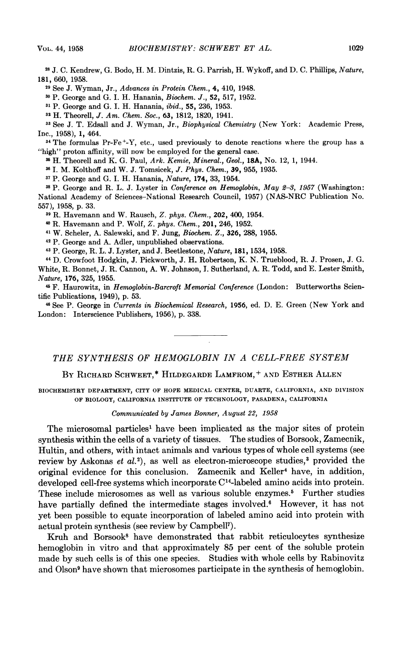<sup>28</sup> J. C. Kendrew, G. Bodo, H. M. Dintzis, R. G. Parrish, H. Wykoff, and D. C. Phillips, Nature, 181, 660, 1958.

<sup>29</sup> See J. Wyman, Jr., Advances in Protein Chem., 4, 410, 1948.

<sup>30</sup> P. George and G. I. H. Hanania, Biochem. J., 52, 517, 1952.

<sup>31</sup> P. George and G. I. H. Hanania, ibid., 55, 236, 1953.

<sup>32</sup> H. Theorell, J. Am. Chem. Soc., 63, 1812, 1820, 1941.

<sup>33</sup> See J. T. Edsall and J. Wyman, Jr., *Biophysical Chemistry* (New York: Academic Press, IDC., 1958),1, 464.

<sup>34</sup> The formulas Pr-Fe<sup>+</sup>-Y, etc., used previously to denote reactions where the group has a "high" proton affinity, will now be employed for the general case.

<sup>3</sup>' H. Theorell and K. G. Paul, Ark. Kemie, Mineral., Geol., 18A, No. 12, 1, 1944.

<sup>36</sup> J. M. Kolthoff and W. J. Tomsicek, J. Phys. Chem., 39, 955, 1935.

<sup>37</sup> P. George and G. I. H. Hanania, Nature, 174, 33, 1954.

 $38$  P. George and R. L. J. Lyster in Conference on Hemoglobin, May  $2-3$ , 1957 (Washington: National Academy of Sciences-National Research Council, 1957) (NAS-NRC Publication No. 557), 1958, p. 33.

<sup>39</sup> R. Havemann and W. Rausch, Z. phys. Chem., 202, 400, 1954.

<sup>40</sup> R. Havemann and P. Wolf, Z. phys. Chem., 201, 246, 1952.

<sup>41</sup> W. Scheler, A. Salewski, and F. Jung, Biochem. Z., 326, 288, 1955.

<sup>42</sup> P. George and A. Adler, unpublished observations.

<sup>43</sup> P. George, R. L. J. Lyster, and J. Beetlestone, Nature, 181, 1534, 1958.

<sup>44</sup> D. Crowfoot Hodgkin, J. Pickworth, J. H. Robertson, K. N. Trueblood, R. J. Prosen, J. G. White, R. Bonnet, J. R. Cannon, A. W. Johnson, I. Sutherland, A. R. Todd, and E. Lester Smith, Nature, 176, 325, 1955.

<sup>45</sup> F. Haurowitz, in Hemoglobin-Barcroft Memorial Conference (London: Butterworths Scientific Publications, 1949), p. 53.

<sup>46</sup> See P. George in Currents in Biochemical Research, 1956, ed. D. E. Green (New York and London: Interscience Publishers, 1956), p. 338.

THE SYNTHESIS OF HEMOGLOBIN IN A CELL-FREE SYSTEM

BY RICHARD SCHWEET,\* HILDEGARDE LAMFROM,+ AND ESTHER ALLEN

BIOCHEMISTRY DEPARTMENT, CITY OF HOPE MEDICAL CENTER, DUARTE, CALIFORNIA, AND DIVISION OF BIOLOGY, CALIFORNIA INSTITUTE OF TECHNOLOGY, PASADENA, CALIFORNIA

## Communicated by James Bonner, August 22, 1958

The microsomal particles<sup>1</sup> have been implicated as the major sites of protein synthesis within the cells of a variety of tissues. The studies of Borsook, Zamecnik, Hultin, and others, with intact animals and various types of whole cell systems (see review by Askonas et  $al.^{2}$ , as well as electron-microscope studies,<sup>3</sup> provided the original evidence for this conclusion. Zamecnik and Keller4 have, in addition, developed cell-free systems which incorporate C14-labeled amino acids into protein. These include microsomes as well as various soluble enzymes.<sup>5</sup> Further studies have partially defined the intermediate stages involved.<sup>6</sup> However, it has not yet been possible to equate incorporation of labeled amino acid into protein with actual protein synthesis (see review by Campbell7).

Kruh and Borsook<sup>8</sup> have demonstrated that rabbit reticulocytes synthesize hemoglobin in vitro and that approximately 85 per cent of the soluble protein made by such cells is of this one species. Studies with whole cells by Rabinovitz and Olson<sup>9</sup> have shown that microsomes participate in the synthesis of hemoglobin.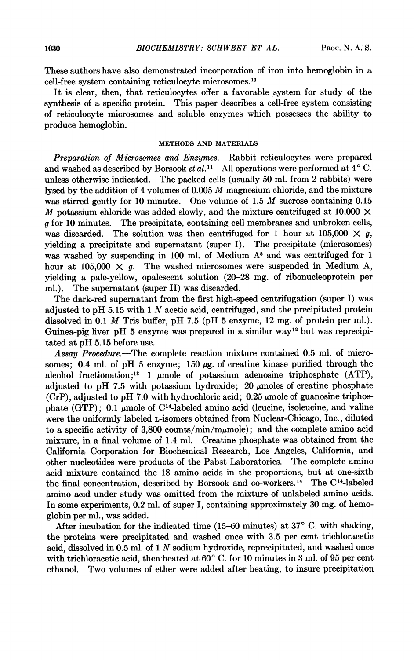These authors have also demonstrated incorporation of iron into hemoglobin in a cell-free system containing reticulocyte microsomes.'0

It is clear, then, that reticulocytes offer a favorable system for study of the synthesis of a specific protein. This paper describes a cell-free system consisting of reticulocyte microsomes and soluble enzymes which possesses the ability to produce hemoglobin.

## METHODS AND MATERIALS

Preparation of Microsomes and Enzymes.—Rabbit reticulocytes were prepared and washed as described by Borsook et  $al$ .<sup>11</sup> All operations were performed at  $4^{\circ}$  C. unless otherwise indicated. The packed cells (usually 50 ml. from 2 rabbits) were lysed by the addition of <sup>4</sup> volumes of 0.005 M magnesium chloride, and the mixture was stirred gently for 10 minutes. One volume of 1.5 M sucrose containing 0.15 M potassium chloride was added slowly, and the mixture centrifuged at 10,000  $\times$  a for 10 minutes. The precipitate, containing cell membranes and unbroken cells, The precipitate, containing cell membranes and unbroken cells, was discarded. The solution was then centrifuged for 1 hour at  $105,000 \times g$ , yielding a precipitate and supernatant (super I). The precipitate (microsomes) was washed by suspending in 100 ml. of Medium  $A<sup>5</sup>$  and was centrifuged for 1 hour at 105,000  $\times$  g. The washed microsomes were suspended in Medium A, yielding a pale-yellow, opalescent solution (20-28 mg. of ribonucleoprotein per ml.). The supernatant (super II) was discarded.

The dark-red supernatant from the first high-speed centrifugation (super I) was adjusted to pH 5.15 with  $1 N$  acetic acid, centrifuged, and the precipitated protein dissolved in 0.1  $M$  Tris buffer, pH 7.5 (pH 5 enzyme, 12 mg, of protein per ml.). Guinea-pig liver pH 5 enzyme was prepared in a similar way<sup>12</sup> but was reprecipitated at pH 5.15 before use.

Assay Procedure.-The complete reaction mixture contained 0.5 ml. of microsomes; 0.4 ml. of pH 5 enzyme; 150  $\mu$ g. of creatine kinase purified through the alcohol fractionation;<sup>13</sup> 1  $\mu$ mole of potassium adenosine triphosphate (ATP), adjusted to pH 7.5 with potassium hydroxide; 20  $\mu$ moles of creatine phosphate (CrP), adjusted to pH 7.0 with hydrochloric acid;  $0.25 \mu$  mole of guanosine triphosphate (GTP); 0.1  $\mu$ mole of C<sup>14</sup>-labeled amino acid (leucine, isoleucine, and valine were the uniformly labeled L-isomers obtained from Nuclear-Chicago, Inc., diluted to a specific activity of 3,800 counts/min/m $\mu$ mole); and the complete amino acid mixture, in a final volume of 1.4 ml. Creatine phosphate was obtained from the California Corporation for Biochemical Research, Los Angeles, California, and other nucleotides were products of the Pabst Laboratories. The complete amino acid mixture contained the 18 amino acids in the proportions, but at one-sixth the final concentration, described by Borsook and co-workers.'4 The <sup>C</sup>'4-labeled amino acid under study was omitted from the mixture of unlabeled amino acids. In some experiments, 0.2 ml. of super I, containing approximately 30 mg. of hemoglobin per ml., was added.

After incubation for the indicated time (15-60 minutes) at  $37^{\circ}$  C. with shaking, the proteins were precipitated and washed once with 3.5 per cent trichloracetic acid, dissolved in 0.5 ml. of <sup>1</sup> N sodium hydroxide, reprecipitated, and washed once with trichloracetic acid, then heated at  $60^{\circ}$  C. for 10 minutes in 3 ml. of 95 per cent ethanol. Two volumes of ether were added after heating, to insure precipitation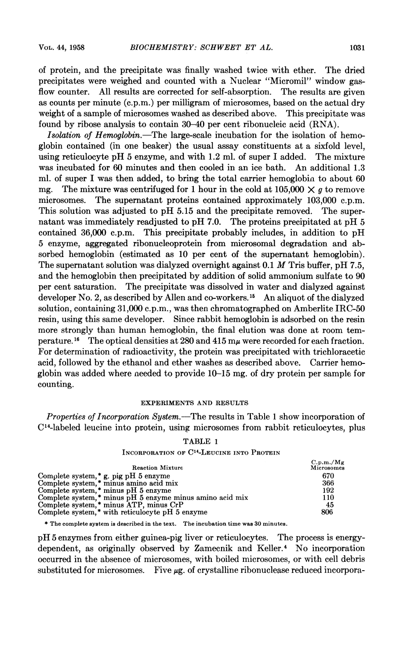of protein, and the precipitate was finally washed twice with ether. The dried precipitates were weighed and counted with a Nuclear "Micromil" window gasflow counter. All results are corrected for self-absorption. The results are given as counts per minute (c.p.m.) per milligram of microsomes, based on the actual dry weight of a sample of microsomes washed as described above. This precipitate was found by ribose analysis to contain 30-40 per cent ribonucleic acid (RNA).

Isolation of Hemoglobin.—The large-scale incubation for the isolation of hemoglobin contained (in one beaker) the usual assay constituents at a sixfold level, using reticulocyte pH <sup>5</sup> enzyme, and with 1.2 ml. of super <sup>I</sup> added. The mixture was incubated for 60 minutes and then cooled in an ice bath. An additional 1.3 ml. of super I was then added, to bring the total carrier hemoglobin to about 60 mg. The mixture was centrifuged for 1 hour in the cold at  $105,000 \times g$  to remove microsomes. The supernatant proteins contained approximately 103,000 c.p.m. This solution was adjusted to pH 5.15 and the precipitate removed. The supernatant was immediately readjusted to pH 7.0. The proteins precipitated at pH 5 contained 36,000 c.p.m. This precipitate probably includes, in addition to pH This precipitate probably includes, in addition to pH 5 enzyme, aggregated ribonucleoprotein from microsomal degradation and absorbed hemoglobin (estimated as 10 per cent of the supernatant hemoglobin). The supernatant solution was dialyzed overnight against  $0.1 M$  Tris buffer, pH 7.5, and the hemoglobin then precipitated by addition of solid ammonium sulfate to 90 per cent saturation. The precipitate was dissolved in water and dialyzed against developer No. 2, as described by Allen and co-workers. <sup>15</sup> An aliquot of the dialyzed solution, containing 31,000 c.p.m., was then chromatographed on Amberlite IRC-50 resin, using this same developer. Since rabbit hemoglobin is adsorbed on the resin more strongly than human hemoglobin, the final elution was done at room temperature.<sup>16</sup> The optical densities at 280 and 415  $m\mu$  were recorded for each fraction. For determination of radioactivity, the protein was precipitated with trichloracetic acid, followed by the ethanol and ether washes as described above. Carrier hemoglobin was added where needed to provide 10–15 mg, of dry protein per sample for counting.

#### EXPERIMENTS AND RESULTS

Properties of Incorporation System.-The results in Table <sup>1</sup> show incorporation of C'4-labeled leucine into protein, using microsomes from rabbit reticulocytes, plus

| <b>"ABLE</b> |  |  |
|--------------|--|--|
|--------------|--|--|

## INCORPORATION OF C14-LEUCINE INTO PROTEIN

| <b>Reaction Mixture</b>                                  | C.p.m./Mg<br>Microsomes |
|----------------------------------------------------------|-------------------------|
| Complete system, $*$ g. pig pH 5 enzyme                  | 670                     |
| Complete system.* minus amino acid mix                   | 366                     |
| Complete system,* minus pH 5 enzyme                      | 192                     |
| Complete system,* minus pH 5 enzyme minus amino acid mix | 110                     |
| Complete system,* minus ATP, minus CrP                   | 45                      |
| Complete system.* with reticulocyte pH 5 enzyme          | 806                     |

\* The complete system is described in the text. The incubation time was 30 minutes.

pH <sup>5</sup> enzymes from either guinea-pig liver or reticulocytes. The process is energydependent, as originally observed by Zamecnik and Keller.4 No incorporation occurred in the absence of microsomes, with boiled microsomes, or with cell debris substituted for microsomes. Five  $\mu$ g. of crystalline ribonuclease reduced incorpora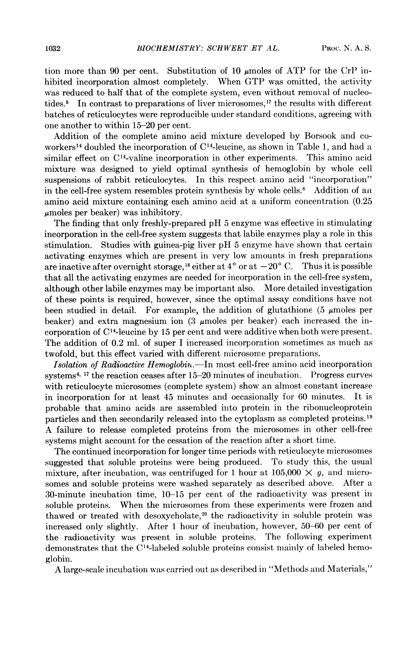tion more than 90 per cent. Substitution of 10  $\mu$  moles of ATP for the CrP inhibited incorporation almost completely. When GTP was omitted, the activity was reduced to half that of the complete system, even without removal of nucleotides.<sup>5</sup> In contrast to preparations of liver microsomes,<sup>17</sup> the results with different batches of reticulocytes were reproducible under standard conditions, agreeing with one another to within 15-20 per cent.

Addition of the complete amino acid mixture developed by Borsook and coworkers<sup>14</sup> doubled the incorporation of  $C<sup>14</sup>$ -leucine, as shown in Table 1, and had a similar effect on  $C<sup>14</sup>$ -valine incorporation in other experiments. This amino acid mixture was designed to yield optimal synthesis of hemoglobin by whole cell suspensions of rabbit reticulocytes. In this respect amino acid "incorporation" in the cell-free system resembles protein synthesis by whole cells.<sup>8</sup> Addition of an amino acid mixture containing each amino acid at a uniform concentration (0.25  $\mu$ moles per beaker) was inhibitory.

The finding that only freshly-prepared pH <sup>5</sup> enzyme was effective in stimulating incorporation in the cell-free system suggests that labile enzymes play a role in this stimulation. Studies with guinea-pig liver pH <sup>5</sup> enzyme have shown that certain activating enzymes which are present in very low amounts in fresh preparations are inactive after overnight storage,<sup>18</sup> either at 4<sup>°</sup> or at  $-20$ <sup>°</sup> C. Thus it is possible that all the activating enzymes are needed for incorporation in the cell-free system, although other labile enzymes may be important also. More detailed investigation of these points is required, however, since the optimal assay conditions have not been studied in detail. For example, the addition of glutathione (5  $\mu$ moles per beaker) and extra magnesium ion (3  $\mu$ moles per beaker) each increased the incorporation of C'4-leucine by 15 per cent and were additive when both were present. The addition of 0.2 ml. of super <sup>I</sup> increased incorporation sometimes as much as twofold, but this effect varied with different microsome preparations.

Isolation of Radioactive Hemoglobin.-In most cell-free amino acid incorporation systems4' <sup>17</sup> the reaction ceases after 15-20 minutes of incubation. Progress curves with reticulocyte microsomes (complete system) show an almost constant increase in incorporation for at least 45 minutes and occasionally for 60 minutes. It is probable that amino acids are assembled into protein in the ribonucleoprotein particles and then secondarily released into the cytoplasm as completed proteins.19 A failure to release completed proteins from the microsomes in other cell-free systems might account for the cessation of the reaction after a short time.

The continued incorporation for longer time periods with reticulocyte microsomes suggested that soluble proteins were being produced. To study this, the usual mixture, after incubation, was centrifuged for 1 hour at  $105,000 \times g$ , and microsomes and soluble proteins were washed separately as described above. After a 30-minute incubation time, 10-15 per cent of the radioactivity was present in soluble proteins. When the microsomes from these experiments were frozen and thawed or treated with desoxycholate, $20$  the radioactivity in soluble protein was increased only slightly. After <sup>1</sup> hour of incubation, however, 50-60 per cent of the radioactivity was present in soluble proteins. The following experiment demonstrates that the C'4-labeled soluble proteins consist mainly of labeled hemoglobin.

A large-scale incubation was carried out as described in "Methods and Materials,"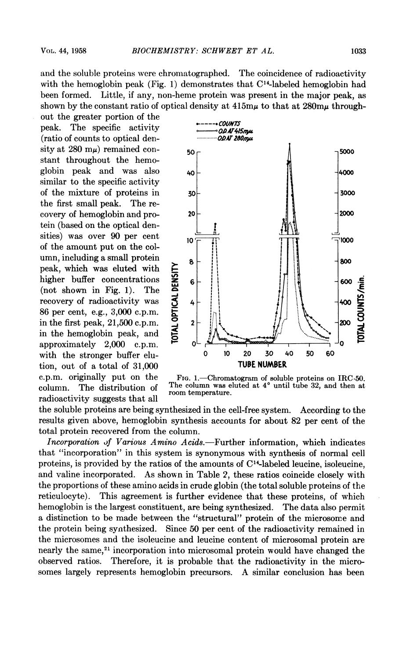and the soluble proteins were chromatographed. The coincidence of radioactivity with the hemoglobin peak (Fig. 1) demonstrates that  $C^{14}$ -labeled hemoglobin had been formed. Little, if any, non-heme protein was present in the major peak, as shown by the constant ratio of optical density at  $415m\mu$  to that at  $280m\mu$  through-

out the greater portion of the peak. The specific activity  $\frac{2}{\sqrt{2}}$  can be exampled that the specific activity  $\frac{2}{\sqrt{2}}$  can be exampled that  $\frac{20 \text{ N}}{20 \text{ N}}$  can be exampled that  $\frac{20 \text{ N}}{20 \text{ N}}$  can be exampled to contract the contract (ratio of counts to optical denstant throughout the hemosimilar to the specific activity the first small peak. The retein (based on the optical densities) was over 90 per cent of the amount put on the colpeak, which was eluted with<br>higher buffer concentrations<br>(not shown in Fig. 1). The<br>recovery of radioactivity was<br>86 per cent, e.g., 3,000 c.p.m.<br>in the first peak, 21,500 c.p.m.<br>in the hemoglobin peak, and higher buffer concentrations  $\frac{92}{6}$  6  $(not shown in Fig. 1).$  The 86 per cent, e.g., 3,000 c.p.m. in the hemoglobin peak, and with the stronger buffer elu- 0 <sup>10</sup> 20 30 40 50 60 tion, out of a total of  $31,000$ radioactivity suggests that all



c.p.m. originally put on the FIG. 1.—Chromatogram of soluble proteins on IRC-50. column. The distribution of  $\frac{1 \text{ ne column was entered at } 4^{\degree}}{\text{ room temperature}}$  until tube 32, and then at

the soluble proteins are being synthesized in the cell-free system. According to the results given above, hemoglobin synthesis accounts for about 82 per cent of the total protein recovered from the column.

Incorporation of Various Amino Acids.—Further information, which indicates that "incorporation" in this system is synonymous with synthesis of normal cell proteins, is provided by the ratios of the amounts of  $C<sup>14</sup>$ -labeled leucine, isoleucine, and valine incorporated. As shown in Table 2, these ratios coincide closely with the proportions of these amino acids in crude globin (the total soluble proteins of the reticulocyte). This agreement is further evidence that these proteins, of which hemoglobin is the largest constituent, are being synthesized. The data also permit a distinction to be made between the "structural" protein of the microsome and the protein being synthesized. Since 50 per cent of the radioactivity remained in the microsomes and the isoleucine and leucine content of microsomal protein are nearly the same,<sup>21</sup> incorporation into microsomal protein would have changed the observed ratios. Therefore, it is probable that the radioactivity in the microsomes largely represents hemoglobin precursors. A similar conclusion has been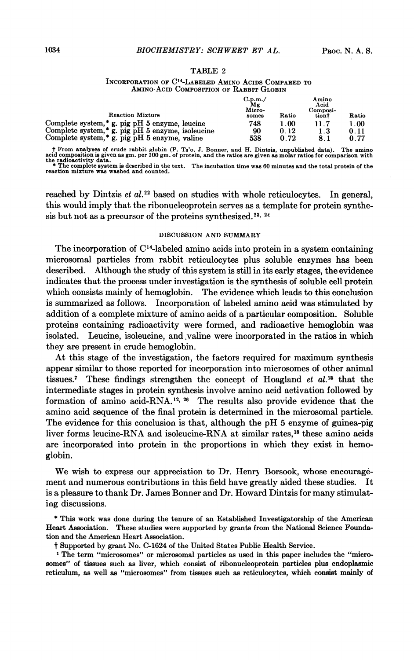#### TABLE <sup>2</sup>

#### INCORPORATION OF C'4-LABELED AMINO ACIDS COMPARED TO AMINO ACID COMPOSITION OF RABBIT GLOBIN

| <b>Reaction Mixture</b>                                        | C.p.m./<br>Μg<br>Micro-<br>somes | Ratio   | Amino<br>Acid<br>Composi-<br>tiont | Ratio |
|----------------------------------------------------------------|----------------------------------|---------|------------------------------------|-------|
| Complete system,* g. pig pH 5 enzyme, leucine                  | 748                              | $.00\,$ | 11.7                               | 1.00  |
| Complete system, <sup>*</sup> g. pig pH $5$ enzyme, isoleucine | 90                               | 0.12    | 1.3                                | 0.11  |
| Complete system, <sup>*</sup> g. pig pH $5$ enzyme, valine     | 538                              | 0.72    | 8.1                                | 0.77  |

† From analyses of crude rabbit globin (P. Ts'o, J. Bonner, and H. Dintzis, unpublished data). The amino acid composition is given as gm. per 100 gm. of protein, and the ratios are given as molar ratios for comparison with  $\bullet$  The complete system is described in the text. The incubation time was 60 minutes and the total protein of the reaction mixture was washed and counted.

reached by Dintzis et  $al.^{22}$  based on studies with whole reticulocytes. In general, this would imply that the ribonucleoprotein serves as a template for protein synthesis but not as a precursor of the proteins synthesized.<sup>23, 24</sup>

## DISCUSSiON AND SUMMARY

The incorporation of C'4-labeled amino acids into protein in a system containing microsomal particles from rabbit reticulocytes plus soluble enzymes has been described. Although the study of this system is still in its early stages, the evidence indicates that the process under investigation is the synthesis of soluble cell protein which consists mainly of hemoglobin. The evidence which leads to this conclusion is summarized as follows. Incorporation of labeled amino acid was stimulated by addition of a complete mixture of amino acids of a particular composition. Soluble proteins containing radioactivity were formed, and radioactive hemoglobin was isolated. Leucine, isoleucine, and valine were incorporated in the ratios in which they are present in crude hemoglobin.

At this stage of the investigation, the factors required for maximum synthesis appear similar to those reported for incorporation into microsomes of other animal tissues.<sup>7</sup> These findings strengthen the concept of Hoagland  $et al.^{25}$  that the intermediate stages in protein synthesis involve amino acid activation followed by formation of amino acid-RNA.12,<sup>26</sup> The results also provide evidence that the amino acid sequence of the final protein is determined in the microsomal particle. The evidence for this conclusion is that, although the pH <sup>5</sup> enzyme of guinea-pig liver forms leucine-RNA and isoleucine-RNA at similar rates,'8 these amino acids are incorporated into protein in the proportions in which they exist in hemoglobin.

We wish to express our appreciation to Dr. Henry Borsook, whose encouragement and numerous contributions in this field have greatly aided these studies. It is a pleasure to thank Dr. James Bonner and Dr. Howard Dintzis for many stimulating discussions.

\* This work was done during the tenure of an Established Investigatorship of the American Heart Association. These studies were supported by grants from the National Science Foundation and the American Heart Association.

<sup>t</sup> Supported by grant No. C-1624 of the United States Public Health Service. <sup>1</sup>

The term"microsomes" or microsom al particles as used in this paper includes the "microsomes" of tissues such as liver, which consist of ribonucleoprotein particles plus endoplasmic reticulum, as well as"microsomes" from tissues such as reticulocytes, which consist mainly of